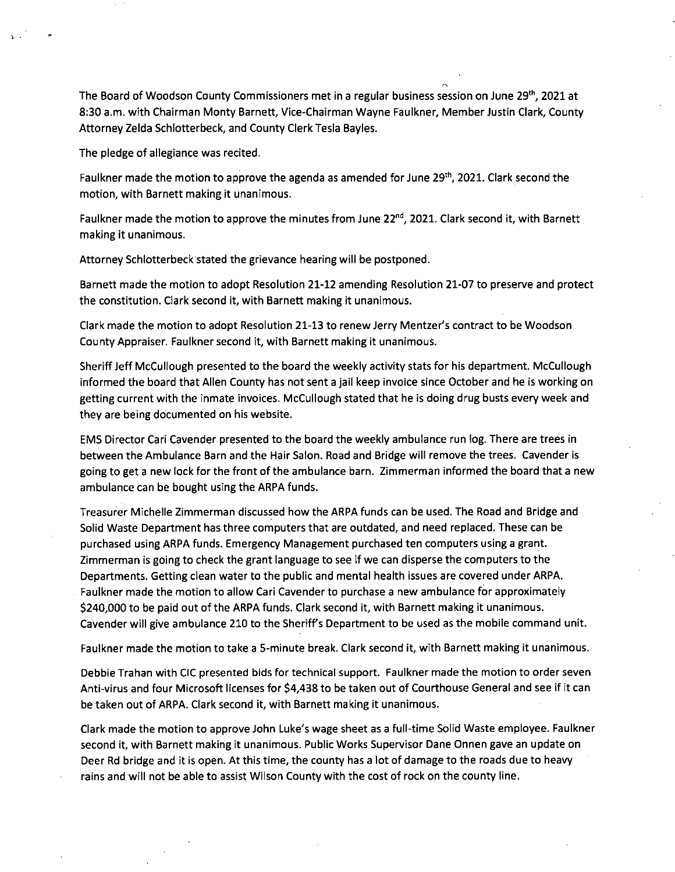The Board of Woodson County Commissioners met in a regular business session on June 29", 2021 at 8:30 a.m. with Chairman Monty Barnett, Vice-Chairman Wayne Faulkner, Member Justin Clark, County Attorney Zelda Schlotterbeck, and County Clerk Tesla Bayles.

The pledge of allegiance was recited.

Faulkner made the motion to approve the agenda as amended for June 29<sup>th</sup>, 2021. Clark second the motion, with Barnett making it unanimous.

Faulkner made the motion to approve the minutes from June 22<sup>nd</sup>, 2021. Clark second it, with Barnett making it unanimous.

Attorney Schlotterbeck stated the grievance hearing will be postponed.

Barnett made the motion to adopt Resolution 21-12 amending Resolution 21-07 to preserve and protect the constitution. Clark second it, with Barnett making it unanimous.

Clark made the motion to adopt Resolution 21-13 to renew Jerry Mentzer's contract to be Woodson County Appraiser. Faulkner second it, with Barnett making it unanimous.

Sheriff Jeff McCullough presented to the board the weekly activity stats for his department. McCullough informed the board that Allen County has not sent a jail keep invoice since October and he is working on getting current with the inmate invoices. McCullough stated that he is doing drug busts every week and they are being documented on his website.

EMS Director Cari Cavender presented to the board the weekly ambulance run log. There are trees in between the Ambulance Barn and the Hair Salon. Road and Bridge will remove the trees. Cavender is going to get a new lock for the front of the ambulance barn. Zimmerman informed the board that a new ambulance can be bought using the ARPA funds.

Treasurer Michelle Zimmerman discussed how the ARPA funds can be used. The Road and Bridge and Solid Waste Department has three computers that are outdated, and need replaced. These can be purchased using ARPA funds. Emergency Management purchased ten computers using a grant. Zimmerman is going to check the grant language to see if we can disperse the computers to the Departments. Getting clean water to the public and mental health issues are covered under ARPA. Faulkner made the motion to allow Cari Cavender to purchase a new ambulance for approximately \$240,000 to be paid out of the ARPA funds. Clark second it, with Barnett making it unanimous. Cavender will give ambulance 210 to the Sheriffs Department to be used as the mobile command unit.

Faulkner made the motion to take a 5-minute break. Clark second it, with Barnett making it unanimous.

Debbie Trahan with CIC presented bids for technical support. Faulkner made the motion to order seven Anti-virus and four Microsoft licenses for \$4,438 to be taken out of Courthouse General and see if it can be taken out of ARPA. Clark second it, with Barnett making it unanimous.

Clark made the motion to approve John Luke's wage sheet as a full-time Solid Waste employee. Faulkner second it, with Barnett making it unanimous. Public Works Supervisor Dane Onnen gave an update on Deer Rd bridge and it is open. At this time, the county has a lot of damage to the roads due to heavy rains and will not be able to assist Wilson County with the cost of rock on the county line.